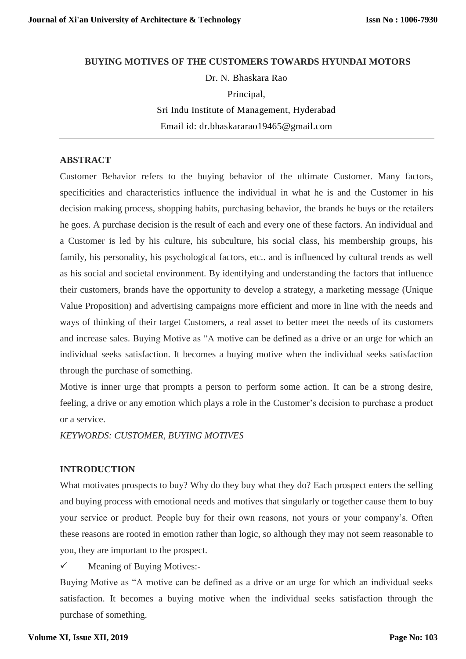**BUYING MOTIVES OF THE CUSTOMERS TOWARDS HYUNDAI MOTORS** Dr. N. Bhaskara Rao Principal, Sri Indu Institute of Management, Hyderabad Email id: [dr.bhaskararao19465@gmail.com](mailto:dr.bhaskararao19465@gmail.com)

## **ABSTRACT**

Customer Behavior refers to the buying behavior of the ultimate Customer. Many factors, specificities and characteristics influence the individual in what he is and the Customer in his decision making process, shopping habits, purchasing behavior, the brands he buys or the retailers he goes. A purchase decision is the result of each and every one of these factors. An individual and a Customer is led by his culture, his subculture, his social class, his membership groups, his family, his personality, his psychological factors, etc.. and is influenced by cultural trends as well as his social and societal environment. By identifying and understanding the factors that influence their customers, brands have the opportunity to develop a strategy, a marketing message (Unique Value Proposition) and advertising campaigns more efficient and more in line with the needs and ways of thinking of their target Customers, a real asset to better meet the needs of its customers and increase sales. Buying Motive as "A motive can be defined as a drive or an urge for which an individual seeks satisfaction. It becomes a buying motive when the individual seeks satisfaction through the purchase of something.

Motive is inner urge that prompts a person to perform some action. It can be a strong desire, feeling, a drive or any emotion which plays a role in the Customer's decision to purchase a product or a service.

*KEYWORDS: CUSTOMER, BUYING MOTIVES*

## **INTRODUCTION**

What motivates prospects to buy? Why do they buy what they do? Each prospect enters the selling and buying process with emotional needs and motives that singularly or together cause them to buy your service or product. People buy for their own reasons, not yours or your company's. Often these reasons are rooted in emotion rather than logic, so although they may not seem reasonable to you, they are important to the prospect.

 $\checkmark$  Meaning of Buying Motives:-

Buying Motive as "A motive can be defined as a drive or an urge for which an individual seeks satisfaction. It becomes a buying motive when the individual seeks satisfaction through the purchase of something.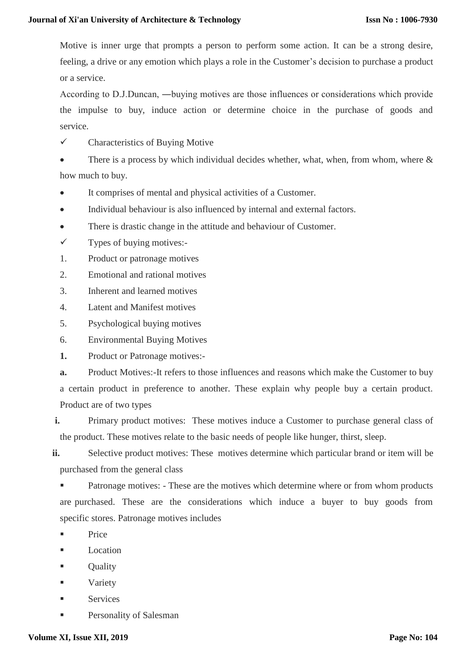Motive is inner urge that prompts a person to perform some action. It can be a strong desire, feeling, a drive or any emotion which plays a role in the Customer's decision to purchase a product or a service.

According to D.J.Duncan, ―buying motives are those influences or considerations which provide the impulse to buy, induce action or determine choice in the purchase of goods and service.

 $\checkmark$  Characteristics of Buving Motive

There is a process by which individual decides whether, what, when, from whom, where & how much to buy.

- It comprises of mental and physical activities of a Customer.
- Individual behaviour is also influenced by internal and external factors.
- There is drastic change in the attitude and behaviour of Customer.
- $\checkmark$  Types of buying motives:-
- 1. Product or patronage motives
- 2. Emotional and rational motives
- 3. Inherent and learned motives
- 4. Latent and Manifest motives
- 5. Psychological buying motives
- 6. Environmental Buying Motives
- **1.** Product or Patronage motives:-

**a.** Product Motives:-It refers to those influences and reasons which make the Customer to buy a certain product in preference to another. These explain why people buy a certain product. Product are of two types

**i.** Primary product motives: These motives induce a Customer to purchase general class of the product. These motives relate to the basic needs of people like hunger, thirst, sleep.

**ii.** Selective product motives: These motives determine which particular brand or item will be purchased from the general class

 Patronage motives: - These are the motives which determine where or from whom products are purchased. These are the considerations which induce a buyer to buy goods from specific stores. Patronage motives includes

- Price
- **Location**
- **C**uality
- Variety
- Services
- Personality of Salesman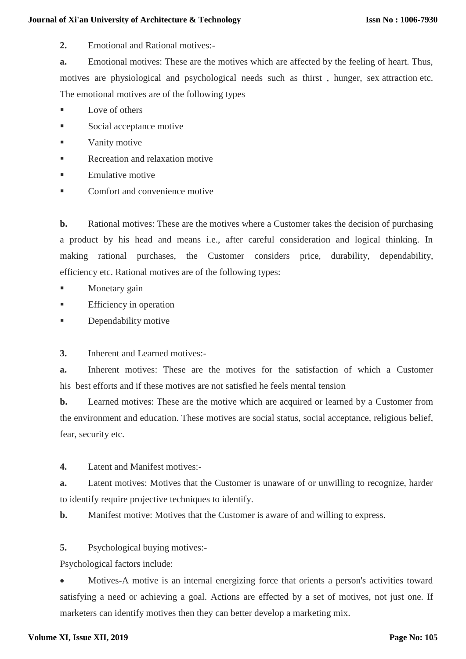#### **Journal of Xi'an University of Architecture & Technology**

**2.** Emotional and Rational motives:-

**a.** Emotional motives: These are the motives which are affected by the feeling of heart. Thus, motives are physiological and psychological needs such as thirst , hunger, sex attraction etc. The emotional motives are of the following types

- Love of others
- Social acceptance motive
- Vanity motive
- Recreation and relaxation motive
- Emulative motive
- Comfort and convenience motive

**b.** Rational motives: These are the motives where a Customer takes the decision of purchasing a product by his head and means i.e., after careful consideration and logical thinking. In making rational purchases, the Customer considers price, durability, dependability, efficiency etc. Rational motives are of the following types:

- Monetary gain
- Efficiency in operation
- Dependability motive
- **3.** Inherent and Learned motives:-

**a.** Inherent motives: These are the motives for the satisfaction of which a Customer his best efforts and if these motives are not satisfied he feels mental tension

**b.** Learned motives: These are the motive which are acquired or learned by a Customer from the environment and education. These motives are social status, social acceptance, religious belief, fear, security etc.

**4.** Latent and Manifest motives:-

**a.** Latent motives: Motives that the Customer is unaware of or unwilling to recognize, harder to identify require projective techniques to identify.

**b.** Manifest motive: Motives that the Customer is aware of and willing to express.

**5.** Psychological buying motives:-

Psychological factors include:

 Motives-A motive is an internal energizing force that orients a person's activities toward satisfying a need or achieving a goal. Actions are effected by a set of motives, not just one. If marketers can identify motives then they can better develop a marketing mix.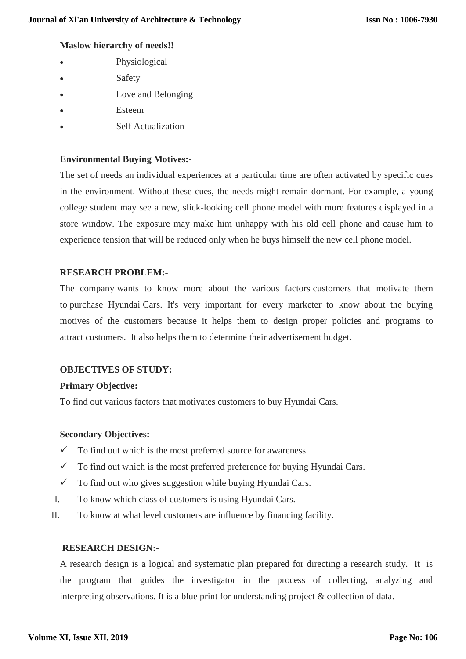## **Maslow hierarchy of needs!!**

- Physiological
- Safety
- Love and Belonging
- Esteem
- Self Actualization

# **Environmental Buying Motives:-**

The set of needs an individual experiences at a particular time are often activated by specific cues in the environment. Without these cues, the needs might remain dormant. For example, a young college student may see a new, slick-looking cell phone model with more features displayed in a store window. The exposure may make him unhappy with his old cell phone and cause him to experience tension that will be reduced only when he buys himself the new cell phone model.

## **RESEARCH PROBLEM:-**

The company wants to know more about the various factors customers that motivate them to purchase Hyundai Cars. It's very important for every marketer to know about the buying motives of the customers because it helps them to design proper policies and programs to attract customers. It also helps them to determine their advertisement budget.

#### **OBJECTIVES OF STUDY:**

#### **Primary Objective:**

To find out various factors that motivates customers to buy Hyundai Cars.

#### **Secondary Objectives:**

- $\checkmark$  To find out which is the most preferred source for awareness.
- $\checkmark$  To find out which is the most preferred preference for buying Hyundai Cars.
- $\checkmark$  To find out who gives suggestion while buying Hyundai Cars.
- I. To know which class of customers is using Hyundai Cars.
- II. To know at what level customers are influence by financing facility.

#### **RESEARCH DESIGN:-**

A research design is a logical and systematic plan prepared for directing a research study. It is the program that guides the investigator in the process of collecting, analyzing and interpreting observations. It is a blue print for understanding project & collection of data.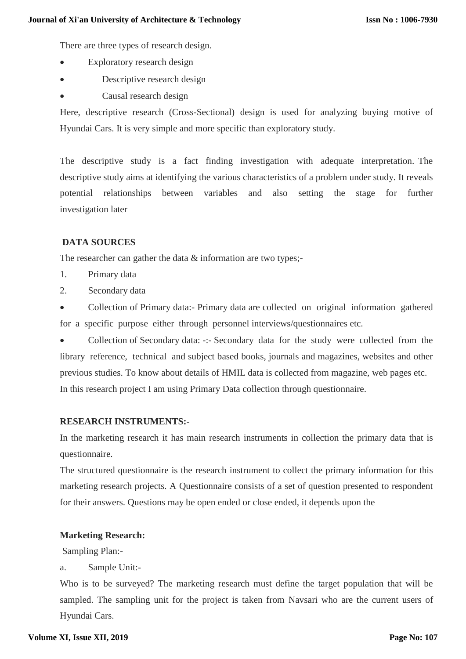There are three types of research design.

- Exploratory research design
- Descriptive research design
- Causal research design

Here, descriptive research (Cross-Sectional) design is used for analyzing buying motive of Hyundai Cars. It is very simple and more specific than exploratory study.

The descriptive study is a fact finding investigation with adequate interpretation. The descriptive study aims at identifying the various characteristics of a problem under study. It reveals potential relationships between variables and also setting the stage for further investigation later

# **DATA SOURCES**

The researcher can gather the data & information are two types;-

- 1. Primary data
- 2. Secondary data

 Collection of Primary data:- Primary data are collected on original information gathered for a specific purpose either through personnel interviews/questionnaires etc.

 Collection of Secondary data: -:- Secondary data for the study were collected from the library reference, technical and subject based books, journals and magazines, websites and other previous studies. To know about details of HMIL data is collected from magazine, web pages etc. In this research project I am using Primary Data collection through questionnaire.

#### **RESEARCH INSTRUMENTS:-**

In the marketing research it has main research instruments in collection the primary data that is questionnaire.

The structured questionnaire is the research instrument to collect the primary information for this marketing research projects. A Questionnaire consists of a set of question presented to respondent for their answers. Questions may be open ended or close ended, it depends upon the

# **Marketing Research:**

Sampling Plan:-

a. Sample Unit:-

Who is to be surveyed? The marketing research must define the target population that will be sampled. The sampling unit for the project is taken from Navsari who are the current users of Hyundai Cars.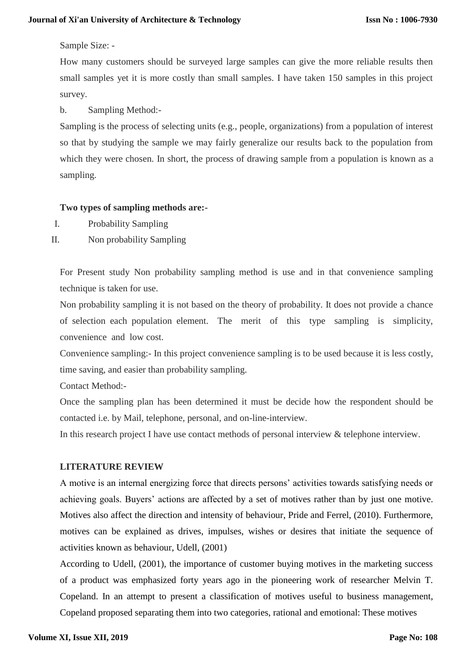## Sample Size: -

How many customers should be surveyed large samples can give the more reliable results then small samples yet it is more costly than small samples. I have taken 150 samples in this project survey.

b. Sampling Method:-

Sampling is the process of selecting units (e.g., people, organizations) from a population of interest so that by studying the sample we may fairly generalize our results back to the population from which they were chosen. In short, the process of drawing sample from a population is known as a sampling.

## **Two types of sampling methods are:-**

- I. Probability Sampling
- II. Non probability Sampling

For Present study Non probability sampling method is use and in that convenience sampling technique is taken for use.

Non probability sampling it is not based on the theory of probability. It does not provide a chance of selection each population element. The merit of this type sampling is simplicity, convenience and low cost.

Convenience sampling:- In this project convenience sampling is to be used because it is less costly, time saving, and easier than probability sampling.

Contact Method:-

Once the sampling plan has been determined it must be decide how the respondent should be contacted i.e. by Mail, telephone, personal, and on-line-interview.

In this research project I have use contact methods of personal interview & telephone interview.

# **LITERATURE REVIEW**

A motive is an internal energizing force that directs persons' activities towards satisfying needs or achieving goals. Buyers' actions are affected by a set of motives rather than by just one motive. Motives also affect the direction and intensity of behaviour, Pride and Ferrel, (2010). Furthermore, motives can be explained as drives, impulses, wishes or desires that initiate the sequence of activities known as behaviour, Udell, (2001)

According to Udell, (2001), the importance of customer buying motives in the marketing success of a product was emphasized forty years ago in the pioneering work of researcher Melvin T. Copeland. In an attempt to present a classification of motives useful to business management, Copeland proposed separating them into two categories, rational and emotional: These motives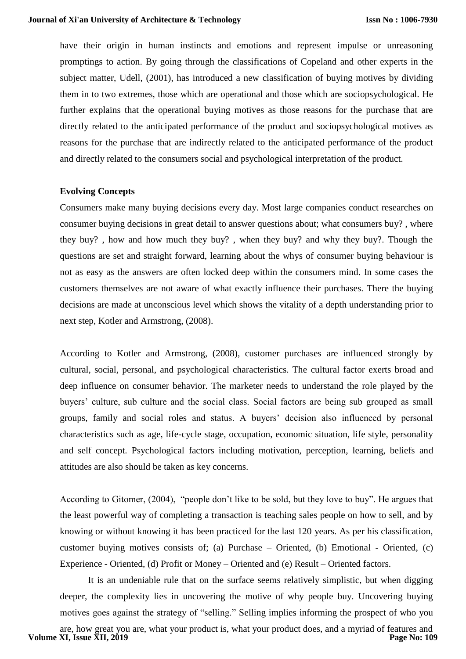have their origin in human instincts and emotions and represent impulse or unreasoning promptings to action. By going through the classifications of Copeland and other experts in the subject matter, Udell, (2001), has introduced a new classification of buying motives by dividing them in to two extremes, those which are operational and those which are sociopsychological. He further explains that the operational buying motives as those reasons for the purchase that are directly related to the anticipated performance of the product and sociopsychological motives as reasons for the purchase that are indirectly related to the anticipated performance of the product and directly related to the consumers social and psychological interpretation of the product.

## **Evolving Concepts**

Consumers make many buying decisions every day. Most large companies conduct researches on consumer buying decisions in great detail to answer questions about; what consumers buy? , where they buy? , how and how much they buy? , when they buy? and why they buy?. Though the questions are set and straight forward, learning about the whys of consumer buying behaviour is not as easy as the answers are often locked deep within the consumers mind. In some cases the customers themselves are not aware of what exactly influence their purchases. There the buying decisions are made at unconscious level which shows the vitality of a depth understanding prior to next step, Kotler and Armstrong, (2008).

According to Kotler and Armstrong, (2008), customer purchases are influenced strongly by cultural, social, personal, and psychological characteristics. The cultural factor exerts broad and deep influence on consumer behavior. The marketer needs to understand the role played by the buyers' culture, sub culture and the social class. Social factors are being sub grouped as small groups, family and social roles and status. A buyers' decision also influenced by personal characteristics such as age, life-cycle stage, occupation, economic situation, life style, personality and self concept. Psychological factors including motivation, perception, learning, beliefs and attitudes are also should be taken as key concerns.

According to Gitomer, (2004), "people don't like to be sold, but they love to buy". He argues that the least powerful way of completing a transaction is teaching sales people on how to sell, and by knowing or without knowing it has been practiced for the last 120 years. As per his classification, customer buying motives consists of; (a) Purchase – Oriented, (b) Emotional - Oriented, (c) Experience - Oriented, (d) Profit or Money – Oriented and (e) Result – Oriented factors.

It is an undeniable rule that on the surface seems relatively simplistic, but when digging deeper, the complexity lies in uncovering the motive of why people buy. Uncovering buying motives goes against the strategy of "selling." Selling implies informing the prospect of who you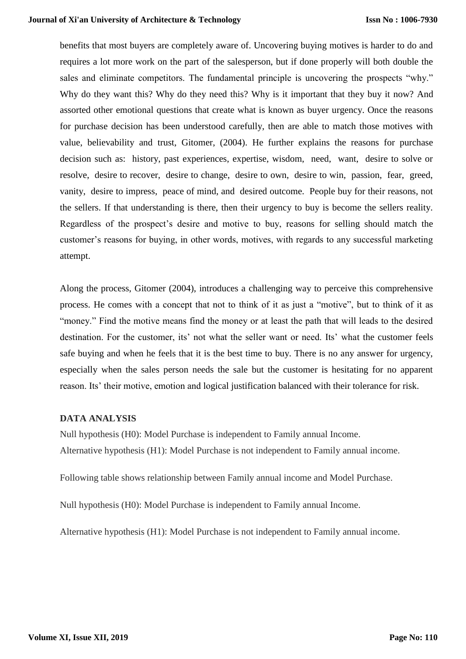benefits that most buyers are completely aware of. Uncovering buying motives is harder to do and requires a lot more work on the part of the salesperson, but if done properly will both double the sales and eliminate competitors. The fundamental principle is uncovering the prospects "why." Why do they want this? Why do they need this? Why is it important that they buy it now? And assorted other emotional questions that create what is known as buyer urgency. Once the reasons for purchase decision has been understood carefully, then are able to match those motives with value, believability and trust, Gitomer, (2004). He further explains the reasons for purchase decision such as: history, past experiences, expertise, wisdom, need, want, desire to solve or resolve, desire to recover, desire to change, desire to own, desire to win, passion, fear, greed, vanity, desire to impress, peace of mind, and desired outcome. People buy for their reasons, not the sellers. If that understanding is there, then their urgency to buy is become the sellers reality. Regardless of the prospect's desire and motive to buy, reasons for selling should match the customer's reasons for buying, in other words, motives, with regards to any successful marketing attempt.

Along the process, Gitomer (2004), introduces a challenging way to perceive this comprehensive process. He comes with a concept that not to think of it as just a "motive", but to think of it as "money." Find the motive means find the money or at least the path that will leads to the desired destination. For the customer, its' not what the seller want or need. Its' what the customer feels safe buying and when he feels that it is the best time to buy. There is no any answer for urgency, especially when the sales person needs the sale but the customer is hesitating for no apparent reason. Its' their motive, emotion and logical justification balanced with their tolerance for risk.

# **DATA ANALYSIS**

Null hypothesis (H0): Model Purchase is independent to Family annual Income. Alternative hypothesis (H1): Model Purchase is not independent to Family annual income.

Following table shows relationship between Family annual income and Model Purchase.

Null hypothesis (H0): Model Purchase is independent to Family annual Income.

Alternative hypothesis (H1): Model Purchase is not independent to Family annual income.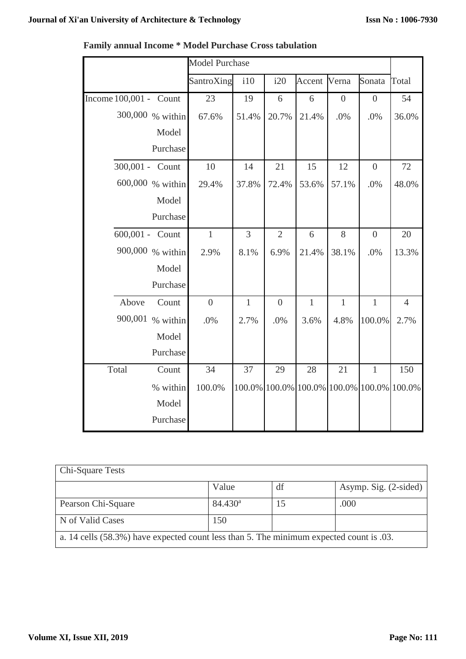$\mathbf{r}$ 

┑

 $\mathbf{r}$ 

|                        | <b>Model Purchase</b> |                |                  |                                           |                  |                  |                |
|------------------------|-----------------------|----------------|------------------|-------------------------------------------|------------------|------------------|----------------|
|                        | SantroXing            | i10            | i20              | Accent                                    | Verna            | Sonata           | Total          |
| Income 100,001 - Count | 23                    | 19             | 6                | 6                                         | $\boldsymbol{0}$ | $\boldsymbol{0}$ | 54             |
| 300,000 % within       | 67.6%                 | 51.4%          | 20.7%            | 21.4%                                     | .0%              | .0%              | 36.0%          |
| Model                  |                       |                |                  |                                           |                  |                  |                |
| Purchase               |                       |                |                  |                                           |                  |                  |                |
| 300,001 - Count        | 10                    | 14             | 21               | 15                                        | 12               | $\overline{0}$   | 72             |
| 600,000 % within       | 29.4%                 | 37.8%          | 72.4%            | 53.6%                                     | 57.1%            | .0%              | 48.0%          |
| Model                  |                       |                |                  |                                           |                  |                  |                |
| Purchase               |                       |                |                  |                                           |                  |                  |                |
| 600,001 - Count        | $\mathbf{1}$          | $\overline{3}$ | $\overline{2}$   | 6                                         | 8                | $\overline{0}$   | 20             |
| 900,000 % within       | 2.9%                  | 8.1%           | 6.9%             | 21.4%                                     | 38.1%            | .0%              | 13.3%          |
| Model                  |                       |                |                  |                                           |                  |                  |                |
| Purchase               |                       |                |                  |                                           |                  |                  |                |
| Above<br>Count         | $\overline{0}$        | $\mathbf{1}$   | $\boldsymbol{0}$ | $\mathbf{1}$                              | $\mathbf{1}$     | $\mathbf{1}$     | $\overline{4}$ |
| 900,001<br>% within    | .0%                   | 2.7%           | .0%              | 3.6%                                      | 4.8%             | 100.0%           | 2.7%           |
| Model                  |                       |                |                  |                                           |                  |                  |                |
| Purchase               |                       |                |                  |                                           |                  |                  |                |
| Total<br>Count         | 34                    | 37             | 29               | 28                                        | 21               | $\mathbf{1}$     | 150            |
| % within               | 100.0%                |                |                  | 100.0% 100.0% 100.0% 100.0% 100.0% 100.0% |                  |                  |                |
| Model                  |                       |                |                  |                                           |                  |                  |                |
| Purchase               |                       |                |                  |                                           |                  |                  |                |

| <b>Family annual Income * Model Purchase Cross tabulation</b> |  |  |  |
|---------------------------------------------------------------|--|--|--|
|---------------------------------------------------------------|--|--|--|

| <b>Chi-Square Tests</b>                                                                 |                     |     |                       |  |
|-----------------------------------------------------------------------------------------|---------------------|-----|-----------------------|--|
|                                                                                         | Value               | df  | Asymp. Sig. (2-sided) |  |
| Pearson Chi-Square                                                                      | 84.430 <sup>a</sup> | כ ו | .000                  |  |
| N of Valid Cases                                                                        | 150                 |     |                       |  |
| a. 14 cells (58.3%) have expected count less than 5. The minimum expected count is .03. |                     |     |                       |  |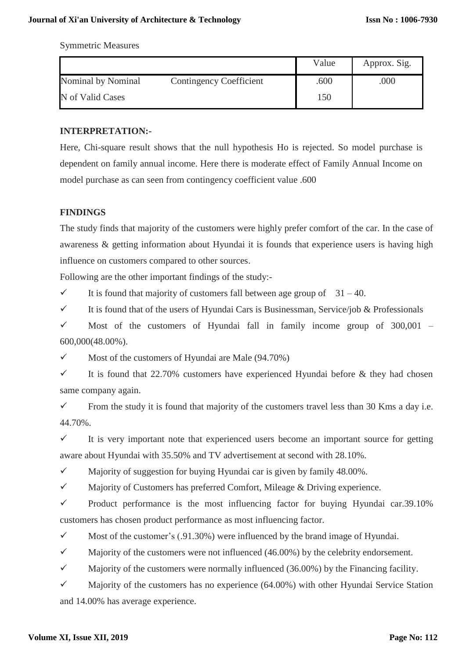Symmetric Measures

|                                                      | Value | Approx. Sig. |
|------------------------------------------------------|-------|--------------|
| <b>Contingency Coefficient</b><br>Nominal by Nominal | .600  | .000         |
| N of Valid Cases                                     | 150   |              |

# **INTERPRETATION:-**

Here, Chi-square result shows that the null hypothesis Ho is rejected. So model purchase is dependent on family annual income. Here there is moderate effect of Family Annual Income on model purchase as can seen from contingency coefficient value .600

# **FINDINGS**

The study finds that majority of the customers were highly prefer comfort of the car. In the case of awareness & getting information about Hyundai it is founds that experience users is having high influence on customers compared to other sources.

Following are the other important findings of the study:-

It is found that majority of customers fall between age group of  $31 - 40$ .

It is found that of the users of Hyundai Cars is Businessman, Service/job & Professionals

 $\checkmark$  Most of the customers of Hyundai fall in family income group of 300,001 – 600,000(48.00%).

 $\checkmark$  Most of the customers of Hyundai are Male (94.70%)

It is found that 22.70% customers have experienced Hyundai before  $\&$  they had chosen same company again.

From the study it is found that majority of the customers travel less than 30 Kms a day i.e. 44.70%.

 $\checkmark$  It is very important note that experienced users become an important source for getting aware about Hyundai with 35.50% and TV advertisement at second with 28.10%.

 $\checkmark$  Majority of suggestion for buying Hyundai car is given by family 48.00%.

 $\checkmark$  Majority of Customers has preferred Comfort, Mileage & Driving experience.

 $\checkmark$  Product performance is the most influencing factor for buying Hyundai car.39.10% customers has chosen product performance as most influencing factor.

 $\checkmark$  Most of the customer's (.91.30%) were influenced by the brand image of Hyundai.

 $\checkmark$  Majority of the customers were not influenced (46.00%) by the celebrity endorsement.

 $\checkmark$  Majority of the customers were normally influenced (36.00%) by the Financing facility.

 $\checkmark$  Majority of the customers has no experience (64.00%) with other Hyundai Service Station and 14.00% has average experience.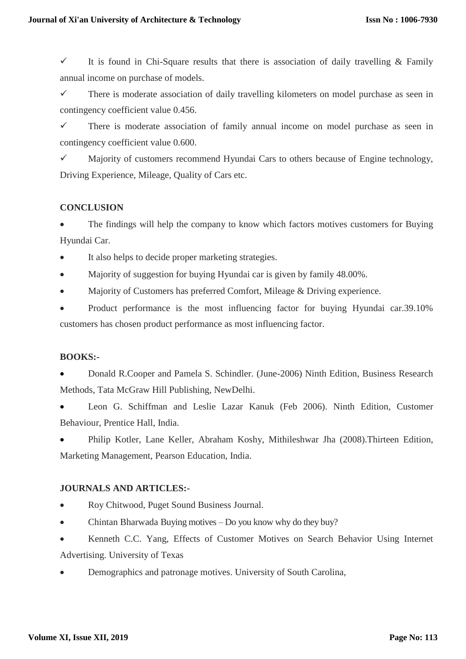It is found in Chi-Square results that there is association of daily travelling  $\&$  Family annual income on purchase of models.

 $\checkmark$  There is moderate association of daily travelling kilometers on model purchase as seen in contingency coefficient value 0.456.

 $\checkmark$  There is moderate association of family annual income on model purchase as seen in contingency coefficient value 0.600.

 $\checkmark$  Majority of customers recommend Hyundai Cars to others because of Engine technology, Driving Experience, Mileage, Quality of Cars etc.

# **CONCLUSION**

 The findings will help the company to know which factors motives customers for Buying Hyundai Car.

It also helps to decide proper marketing strategies.

Majority of suggestion for buying Hyundai car is given by family 48.00%.

Majority of Customers has preferred Comfort, Mileage & Driving experience.

 Product performance is the most influencing factor for buying Hyundai car.39.10% customers has chosen product performance as most influencing factor.

# **BOOKS:-**

 Donald R.Cooper and Pamela S. Schindler. (June-2006) Ninth Edition, Business Research Methods, Tata McGraw Hill Publishing, NewDelhi.

 Leon G. Schiffman and Leslie Lazar Kanuk (Feb 2006). Ninth Edition, Customer Behaviour, Prentice Hall, India.

 Philip Kotler, Lane Keller, Abraham Koshy, Mithileshwar Jha (2008).Thirteen Edition, Marketing Management, Pearson Education, India.

# **JOURNALS AND ARTICLES:-**

Roy Chitwood, Puget Sound Business Journal.

Chintan Bharwada Buying motives – [Do you know why do they buy?](http://loyaltyandcustomers.com/2010/02/buying-motives/)

 Kenneth C.C. Yang, Effects of Customer Motives on Search Behavior Using Internet Advertising. University of Texas

Demographics and patronage motives. University of South Carolina,